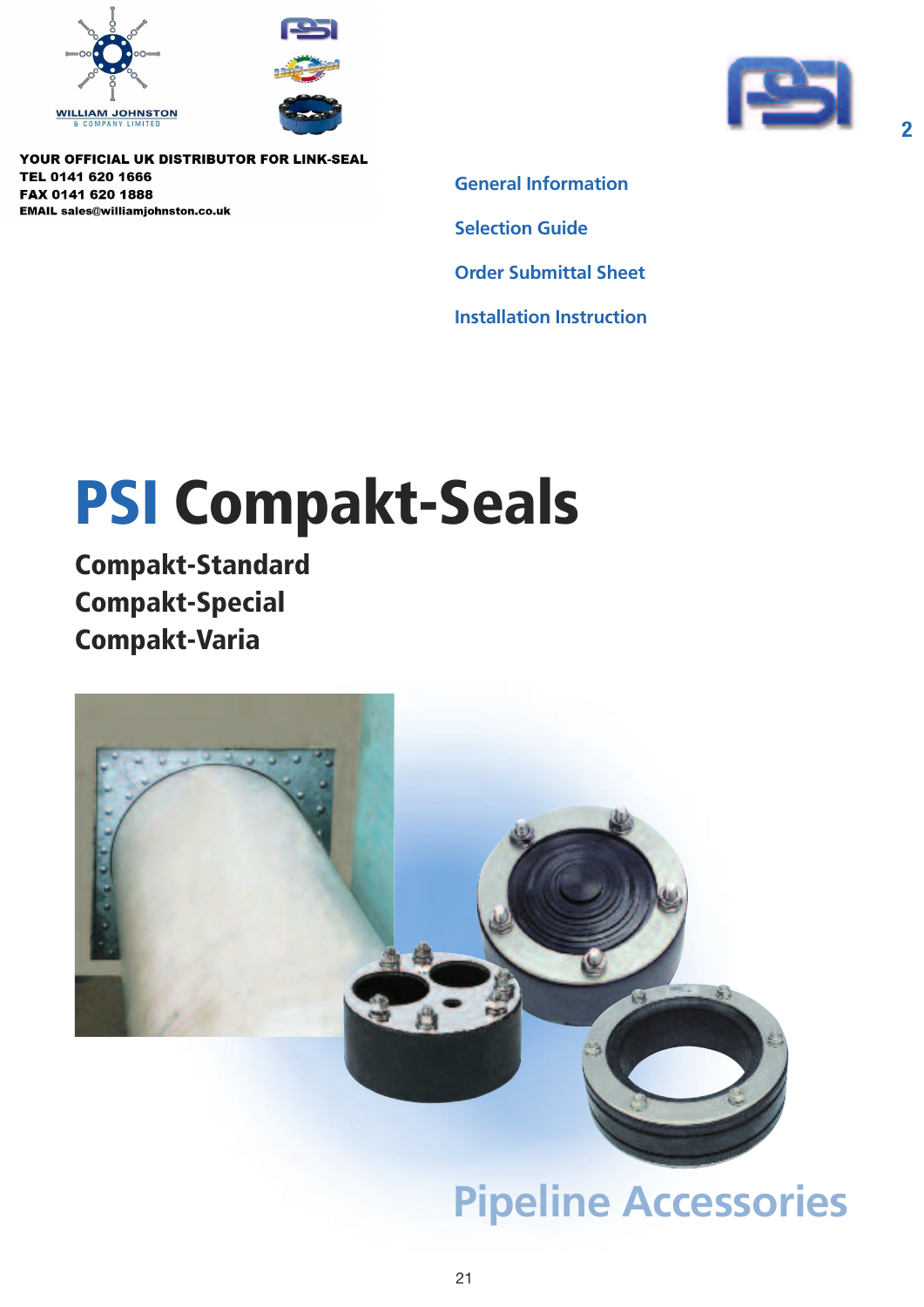





**2**

YOUR OFFICIAL UK DISTRIBUTOR FOR LINK-SEAL TEL 0141 620 1666 FAX 0141 620 1888 **EMAIL sales@williamjohnston.co.uk** 

**General Information Selection Guide Order Submittal Sheet Installation Instruction**

# **PSI Compakt-Seals**

**Compakt-Standard Compakt-Special Compakt-Varia**



## **Pipeline Accessories**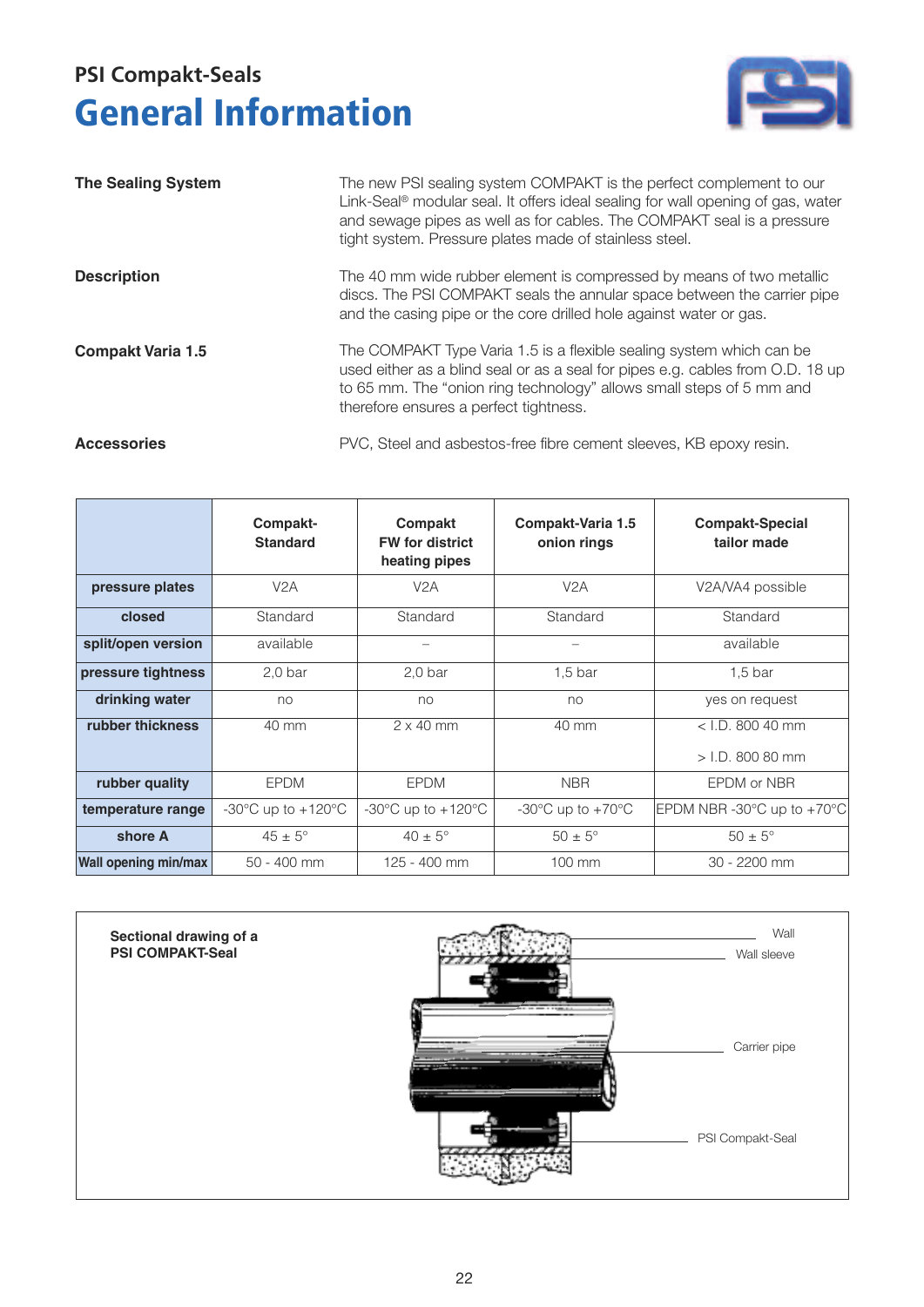### **General Information PSI Compakt-Seals**



| <b>The Sealing System</b> | The new PSI sealing system COMPAKT is the perfect complement to our<br>Link-Seal <sup>®</sup> modular seal. It offers ideal sealing for wall opening of gas, water<br>and sewage pipes as well as for cables. The COMPAKT seal is a pressure<br>tight system. Pressure plates made of stainless steel. |
|---------------------------|--------------------------------------------------------------------------------------------------------------------------------------------------------------------------------------------------------------------------------------------------------------------------------------------------------|
| <b>Description</b>        | The 40 mm wide rubber element is compressed by means of two metallic<br>discs. The PSI COMPAKT seals the annular space between the carrier pipe<br>and the casing pipe or the core drilled hole against water or gas.                                                                                  |
| <b>Compakt Varia 1.5</b>  | The COMPAKT Type Varia 1.5 is a flexible sealing system which can be<br>used either as a blind seal or as a seal for pipes e.g. cables from O.D. 18 up<br>to 65 mm. The "onion ring technology" allows small steps of 5 mm and<br>therefore ensures a perfect tightness.                               |
| <b>Accessories</b>        | PVC, Steel and asbestos-free fibre cement sleeves, KB epoxy resin.                                                                                                                                                                                                                                     |

PVC, Steel and asbestos-free fibre cement sleeves, KB epoxy resin.

|                             | Compakt-<br><b>Standard</b>            | Compakt<br><b>FW for district</b><br>heating pipes | Compakt-Varia 1.5<br>onion rings                        | <b>Compakt-Special</b><br>tailor made            |
|-----------------------------|----------------------------------------|----------------------------------------------------|---------------------------------------------------------|--------------------------------------------------|
| pressure plates             | V <sub>2</sub> A                       | V2A                                                | V2A                                                     | V2A/VA4 possible                                 |
| closed                      | Standard                               | Standard                                           | Standard                                                | Standard                                         |
| split/open version          | available                              |                                                    |                                                         | available                                        |
| pressure tightness          | 2.0 <sub>bar</sub>                     | $2,0$ bar                                          | 1.5 <sub>bar</sub>                                      | 1.5 <sub>bar</sub>                               |
| drinking water              | no                                     | no                                                 | no                                                      | yes on request                                   |
| rubber thickness            | 40 mm                                  | $2 \times 40$ mm                                   | 40 mm                                                   | $<$ I.D. 800 40 mm                               |
|                             |                                        |                                                    |                                                         | $>$ I.D. 800 80 mm                               |
| rubber quality              | <b>EPDM</b>                            | <b>EPDM</b>                                        | <b>NBR</b>                                              | EPDM or NBR                                      |
| temperature range           | -30 $\degree$ C up to +120 $\degree$ C | -30 $\degree$ C up to +120 $\degree$ C             | -30 $\mathrm{^{\circ}C}$ up to +70 $\mathrm{^{\circ}C}$ | EPDM NBR -30 $^{\circ}$ C up to +70 $^{\circ}$ C |
| shore A                     | $45 \pm 5^{\circ}$                     | $40 \pm 5^{\circ}$                                 | $50 \pm 5^{\circ}$                                      | $50 \pm 5^{\circ}$                               |
| <b>Wall opening min/max</b> | $50 - 400$ mm                          | 125 - 400 mm                                       | 100 mm                                                  | 30 - 2200 mm                                     |

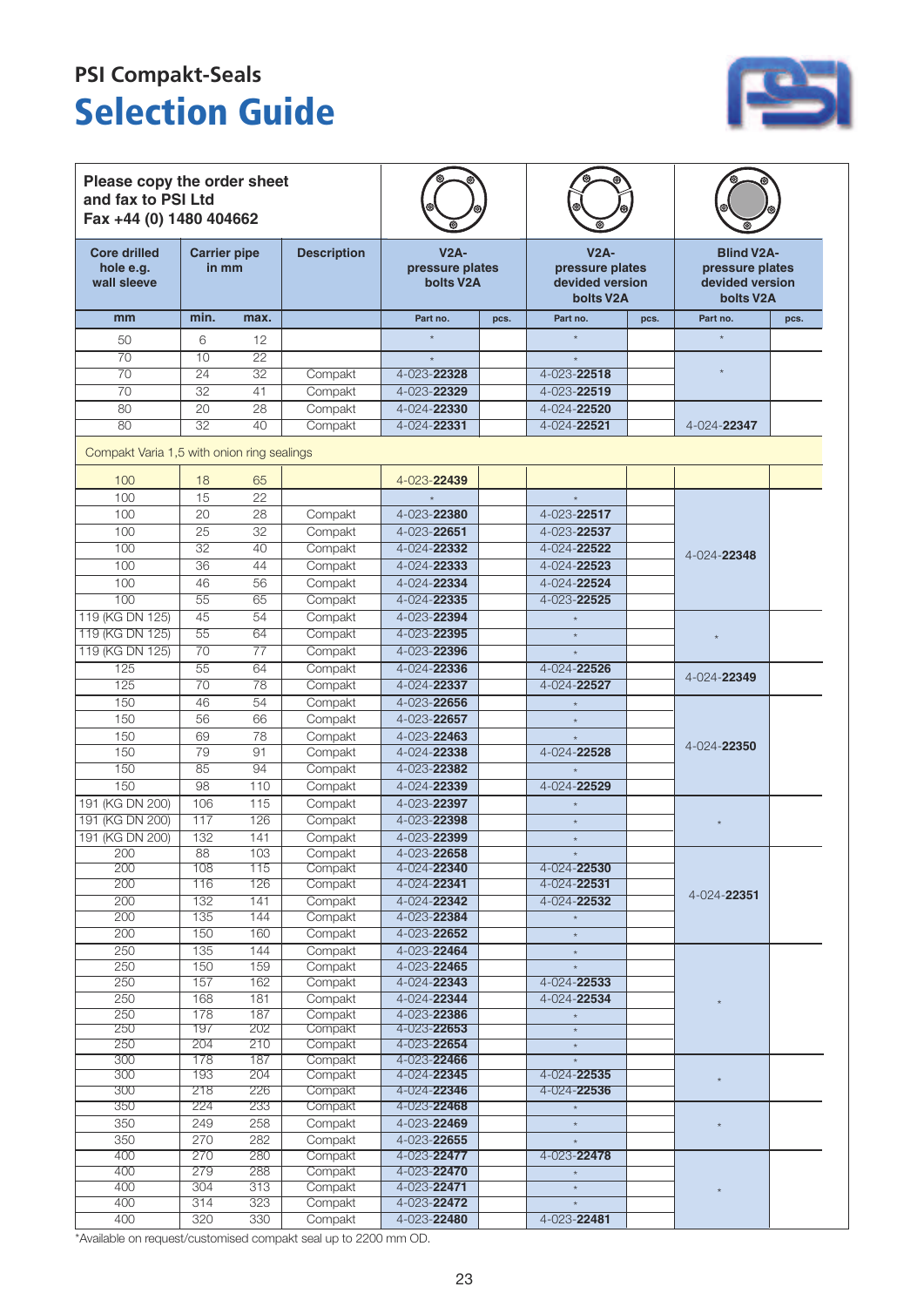### **Selection Guide PSI Compakt-Seals**



| Please copy the order sheet<br>and fax to PSI Ltd<br>Fax +44 (0) 1480 404662 |                              |                 |                    |                                        |      |                                                           |      |                                                                                   |      |
|------------------------------------------------------------------------------|------------------------------|-----------------|--------------------|----------------------------------------|------|-----------------------------------------------------------|------|-----------------------------------------------------------------------------------|------|
| <b>Core drilled</b><br>hole e.g.<br>wall sleeve                              | <b>Carrier pipe</b><br>in mm |                 | <b>Description</b> | $V2A-$<br>pressure plates<br>bolts V2A |      | $V2A-$<br>pressure plates<br>devided version<br>bolts V2A |      | <b>Blind V2A-</b><br>pressure plates<br>devided version<br>bolts V <sub>2</sub> A |      |
| mm                                                                           | min.                         | max.            |                    | Part no.                               | pcs. | Part no.                                                  | pcs. | Part no.                                                                          | pcs. |
| 50                                                                           | 6                            | 12              |                    |                                        |      |                                                           |      |                                                                                   |      |
| 70                                                                           | $\overline{10}$              | $\overline{22}$ |                    |                                        |      |                                                           |      |                                                                                   |      |
| 70                                                                           | $\overline{24}$              | $\overline{32}$ | Compakt            | 4-023-22328                            |      | 4-023-22518                                               |      |                                                                                   |      |
| 70                                                                           | 32                           | 41              | Compakt            | 4-023-22329                            |      | 4-023-22519                                               |      |                                                                                   |      |
| 80                                                                           | 20                           | $\overline{28}$ | Compakt            | 4-024-22330                            |      | 4-024-22520                                               |      |                                                                                   |      |
| 80                                                                           | 32                           | 40              | Compakt            | 4-024-22331                            |      | 4-024-22521                                               |      | 4-024-22347                                                                       |      |
| Compakt Varia 1,5 with onion ring sealings                                   |                              |                 |                    |                                        |      |                                                           |      |                                                                                   |      |
| 100                                                                          | 18                           | 65              |                    | 4-023-22439                            |      |                                                           |      |                                                                                   |      |
| 100                                                                          | 15                           | 22              |                    |                                        |      | $\star$                                                   |      |                                                                                   |      |
| 100                                                                          | 20                           | 28              | Compakt            | 4-023-22380                            |      | 4-023-22517                                               |      |                                                                                   |      |
| 100                                                                          | 25                           | 32              | Compakt            | 4-023-22651                            |      | 4-023-22537                                               |      |                                                                                   |      |
| 100                                                                          | 32                           | 40              |                    | 4-024-22332                            |      |                                                           |      |                                                                                   |      |
|                                                                              | 36                           | 44              | Compakt            |                                        |      | 4-024-22522                                               |      | 4-024-22348                                                                       |      |
| 100<br>100                                                                   | 46                           | 56              | Compakt            | 4-024-22333                            |      | 4-024-22523                                               |      |                                                                                   |      |
|                                                                              |                              |                 | Compakt            | 4-024-22334                            |      | 4-024-22524                                               |      |                                                                                   |      |
| 100                                                                          | 55                           | 65              | Compakt            | 4-024-22335                            |      | 4-023-22525                                               |      |                                                                                   |      |
| 119 (KG DN 125)                                                              | 45                           | $\overline{54}$ | Compakt            | 4-023-22394                            |      | $\star$                                                   |      |                                                                                   |      |
| 119 (KG DN 125)                                                              | 55                           | 64              | Compakt            | 4-023-22395                            |      | $\star$                                                   |      |                                                                                   |      |
| 119 (KG DN 125)                                                              | 70                           | $\overline{77}$ | Compakt            | 4-023-22396                            |      |                                                           |      |                                                                                   |      |
| 125                                                                          | 55                           | 64              | Compakt            | 4-024-22336                            |      | 4-024-22526                                               |      | 4-024-22349                                                                       |      |
| 125                                                                          | 70                           | 78              | Compakt            | 4-024-22337                            |      | 4-024-22527                                               |      |                                                                                   |      |
| 150                                                                          | 46                           | $\overline{54}$ | Compakt            | 4-023-22656                            |      | $\star$                                                   |      |                                                                                   |      |
| 150                                                                          | 56                           | 66              | Compakt            | 4-023-22657                            |      | $\star$                                                   |      |                                                                                   |      |
| 150                                                                          | 69                           | 78              | Compakt            | 4-023-22463                            |      |                                                           |      | 4-024-22350                                                                       |      |
| 150                                                                          | 79                           | 91              | Compakt            | 4-024-22338                            |      | 4-024-22528                                               |      |                                                                                   |      |
| 150                                                                          | 85                           | 94              | Compakt            | 4-023-22382                            |      |                                                           |      |                                                                                   |      |
| 150                                                                          | $\overline{98}$              | 110             | Compakt            | 4-024-22339                            |      | 4-024-22529                                               |      |                                                                                   |      |
| 191 (KG DN 200)                                                              | 106                          | 115             | Compakt            | 4-023-22397                            |      | $\star$                                                   |      |                                                                                   |      |
| 191 (KG DN 200)                                                              | 117                          | 126             | Compakt            | 4-023-22398                            |      | $\star$                                                   |      |                                                                                   |      |
| 191 (KG DN 200)                                                              | 132                          | 141             | Compakt            | 4-023-22399                            |      |                                                           |      |                                                                                   |      |
| 200                                                                          | $\overline{88}$              | 103             | Compakt            | 4-023-22658                            |      |                                                           |      |                                                                                   |      |
| 200<br>200                                                                   | 108                          | 115<br>126      | Compakt            | 4-024-22340                            |      | 4-024-22530<br>4-024-22531                                |      |                                                                                   |      |
| 200                                                                          | 116<br>132                   |                 | Compakt<br>Compakt | 4-024-22341<br>4-024-22342             |      | $4 - 024 - 22532$                                         |      | 4-024-22351                                                                       |      |
| 200                                                                          | 135                          | 141<br>144      | Compakt            | 4-023-22384                            |      |                                                           |      |                                                                                   |      |
| 200                                                                          | 150                          | 160             | Compakt            | 4-023-22652                            |      |                                                           |      |                                                                                   |      |
| 250                                                                          | 135                          | 144             | Compakt            | 4-023-22464                            |      | $\star$                                                   |      |                                                                                   |      |
| 250                                                                          | 150                          | 159             | Compakt            | 4-023-22465                            |      | $\star$<br>$^\star$                                       |      |                                                                                   |      |
| 250                                                                          | 157                          | 162             | Compakt            | 4-024-22343                            |      | $4 - 024 - 22533$                                         |      |                                                                                   |      |
| $\overline{250}$                                                             | 168                          | 181             | Compakt            | 4-024-22344                            |      | 4-024-22534                                               |      |                                                                                   |      |
| 250                                                                          | 178                          | 187             | Compakt            | $4 - 023 - 22386$                      |      |                                                           |      |                                                                                   |      |
| 250                                                                          | 197                          | 202             | Compakt            | 4-023-22653                            |      |                                                           |      |                                                                                   |      |
| 250                                                                          | 204                          | 210             | Compakt            | 4-023-22654                            |      | $\star$                                                   |      |                                                                                   |      |
| 300                                                                          | 178                          | 187             | Compakt            | 4-023-22466                            |      | $\star$                                                   |      |                                                                                   |      |
| 300                                                                          | 193                          | 204             | Compakt            | 4-024-22345                            |      | $4 - 024 - 22535$                                         |      |                                                                                   |      |
| 300                                                                          | 218                          | 226             | Compakt            | 4-024-22346                            |      | 4-024-22536                                               |      |                                                                                   |      |
| 350                                                                          | 224                          | 233             | Compakt            | 4-023-22468                            |      | $^\star$                                                  |      |                                                                                   |      |
| 350                                                                          | 249                          | 258             | Compakt            | 4-023-22469                            |      | $\star$                                                   |      |                                                                                   |      |
| 350                                                                          | 270                          | 282             | Compakt            | 4-023-22655                            |      | $^\star$                                                  |      |                                                                                   |      |
| 400                                                                          | 270                          | 280             | Compakt            | 4-023-22477                            |      | 4-023-22478                                               |      |                                                                                   |      |
| 400                                                                          | 279                          | 288             | Compakt            | 4-023-22470                            |      | $\star$                                                   |      |                                                                                   |      |
| 400                                                                          | 304                          | 313             | Compakt            | 4-023-22471                            |      | $^\star$                                                  |      |                                                                                   |      |
| 400                                                                          | 314                          | 323             | Compakt            | 4-023-22472                            |      | $\star$                                                   |      |                                                                                   |      |
| 400                                                                          | 320                          | 330             | Compakt            | 4-023-22480                            |      | $4 - 023 - 22481$                                         |      |                                                                                   |      |

\*Available on request/customised compakt seal up to 2200 mm OD.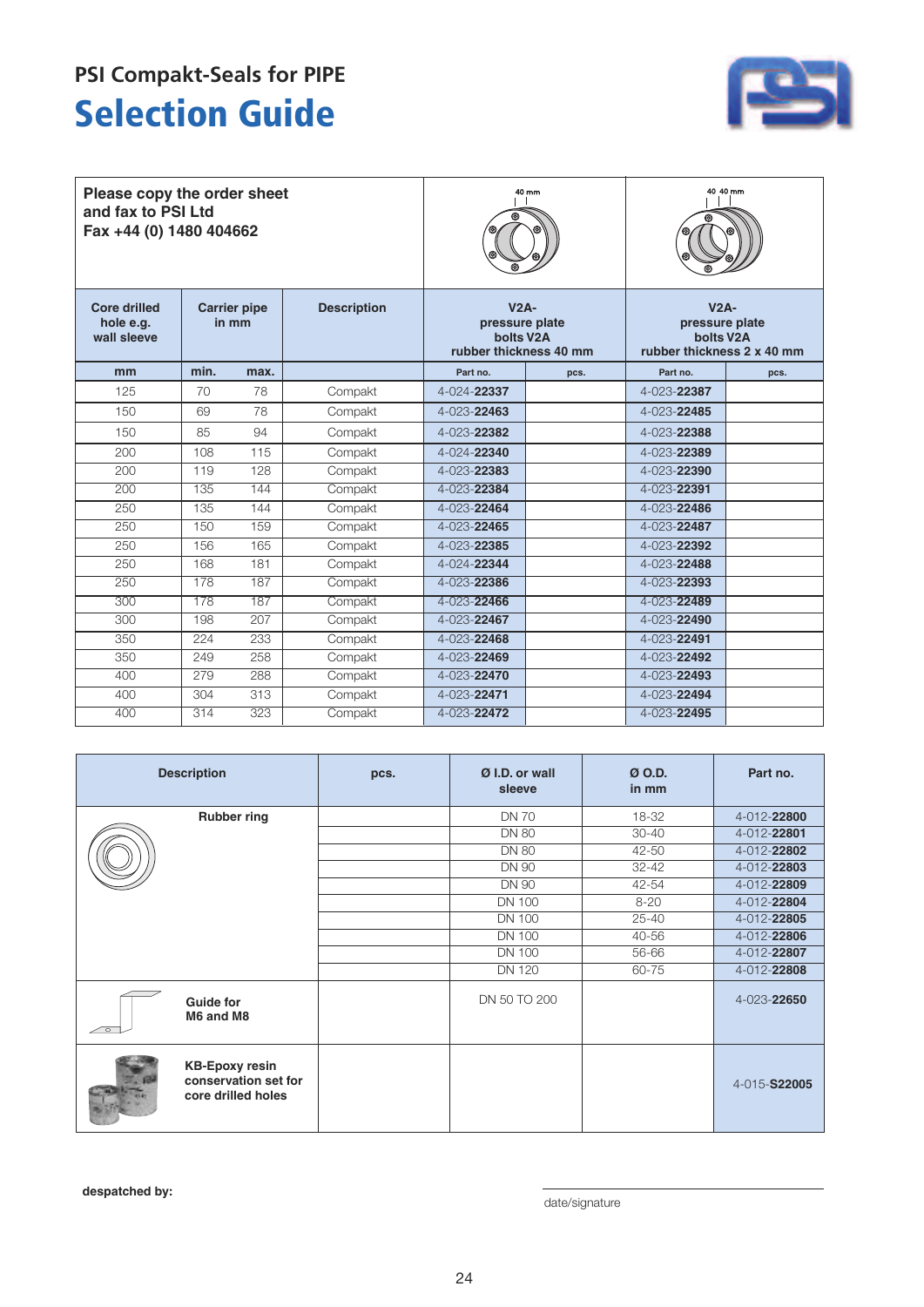### **Selection Guide PSI Compakt-Seals for PIPE**



| Please copy the order sheet<br>and fax to PSI Ltd<br>Fax +44 (0) 1480 404662    |      |                    |                                                                              | 40 mm             | 40 40 mm                                                                         |                   |      |
|---------------------------------------------------------------------------------|------|--------------------|------------------------------------------------------------------------------|-------------------|----------------------------------------------------------------------------------|-------------------|------|
| <b>Core drilled</b><br><b>Carrier pipe</b><br>hole e.g.<br>in mm<br>wall sleeve |      | <b>Description</b> | $V2A-$<br>pressure plate<br>bolts V <sub>2</sub> A<br>rubber thickness 40 mm |                   | $V2A-$<br>pressure plate<br>bolts V <sub>2</sub> A<br>rubber thickness 2 x 40 mm |                   |      |
| mm                                                                              | min. | max.               |                                                                              | Part no.          | pcs.                                                                             | Part no.          | pcs. |
| 125                                                                             | 70   | 78                 | Compakt                                                                      | 4-024-22337       |                                                                                  | 4-023-22387       |      |
| 150                                                                             | 69   | 78                 | Compakt                                                                      | $4 - 023 - 22463$ |                                                                                  | 4-023-22485       |      |
| 150                                                                             | 85   | 94                 | Compakt                                                                      | 4-023-22382       |                                                                                  | 4-023-22388       |      |
| 200                                                                             | 108  | 115                | Compakt                                                                      | 4-024-22340       |                                                                                  | 4-023-22389       |      |
| 200                                                                             | 119  | 128                | Compakt                                                                      | 4-023-22383       |                                                                                  | 4-023-22390       |      |
| 200                                                                             | 135  | 144                | Compakt                                                                      | 4-023-22384       |                                                                                  | 4-023-22391       |      |
| 250                                                                             | 135  | 144                | Compakt                                                                      | 4-023-22464       |                                                                                  | $4 - 023 - 22486$ |      |
| 250                                                                             | 150  | 159                | Compakt                                                                      | 4-023-22465       |                                                                                  | 4-023-22487       |      |
| 250                                                                             | 156  | 165                | Compakt                                                                      | 4-023-22385       |                                                                                  | 4-023-22392       |      |
| 250                                                                             | 168  | 181                | Compakt                                                                      | 4-024-22344       |                                                                                  | 4-023-22488       |      |
| 250                                                                             | 178  | 187                | Compakt                                                                      | 4-023-22386       |                                                                                  | 4-023-22393       |      |
| 300                                                                             | 178  | 187                | Compakt                                                                      | $4 - 023 - 22466$ |                                                                                  | 4-023-22489       |      |
| 300                                                                             | 198  | 207                | Compakt                                                                      | 4-023-22467       |                                                                                  | 4-023-22490       |      |
| 350                                                                             | 224  | 233                | Compakt                                                                      | 4-023-22468       |                                                                                  | $4 - 023 - 22491$ |      |
| 350                                                                             | 249  | 258                | Compakt                                                                      | $4 - 023 - 22469$ |                                                                                  | 4-023-22492       |      |
| 400                                                                             | 279  | 288                | Compakt                                                                      | 4-023-22470       |                                                                                  | 4-023-22493       |      |
| 400                                                                             | 304  | 313                | Compakt                                                                      | 4-023-22471       |                                                                                  | 4-023-22494       |      |
| 400                                                                             | 314  | 323                | Compakt                                                                      | 4-023-22472       |                                                                                  | 4-023-22495       |      |

|                          | <b>Description</b>                                                  | pcs. | Ø I.D. or wall<br>sleeve | $Ø$ O.D.<br>in mm | Part no.     |
|--------------------------|---------------------------------------------------------------------|------|--------------------------|-------------------|--------------|
|                          | <b>Rubber ring</b>                                                  |      | <b>DN 70</b>             | 18-32             | 4-012-22800  |
|                          |                                                                     |      | <b>DN 80</b>             | $30 - 40$         | 4-012-22801  |
|                          |                                                                     |      | <b>DN 80</b>             | 42-50             | 4-012-22802  |
|                          |                                                                     |      | <b>DN 90</b>             | $32 - 42$         | 4-012-22803  |
|                          |                                                                     |      | <b>DN 90</b>             | $42 - 54$         | 4-012-22809  |
|                          |                                                                     |      | <b>DN 100</b>            | $8 - 20$          | 4-012-22804  |
|                          |                                                                     |      | <b>DN 100</b>            | $25 - 40$         | 4-012-22805  |
|                          |                                                                     |      | <b>DN 100</b>            | 40-56             | 4-012-22806  |
|                          |                                                                     |      | <b>DN 100</b>            | 56-66             | 4-012-22807  |
|                          |                                                                     |      | <b>DN 120</b>            | 60-75             | 4-012-22808  |
| $\overline{\phantom{a}}$ | <b>Guide for</b><br>M6 and M8                                       |      | DN 50 TO 200             |                   | 4-023-22650  |
|                          | <b>KB-Epoxy resin</b><br>conservation set for<br>core drilled holes |      |                          |                   | 4-015-S22005 |

despatched by:  $\qquad \qquad \text{date/signature}$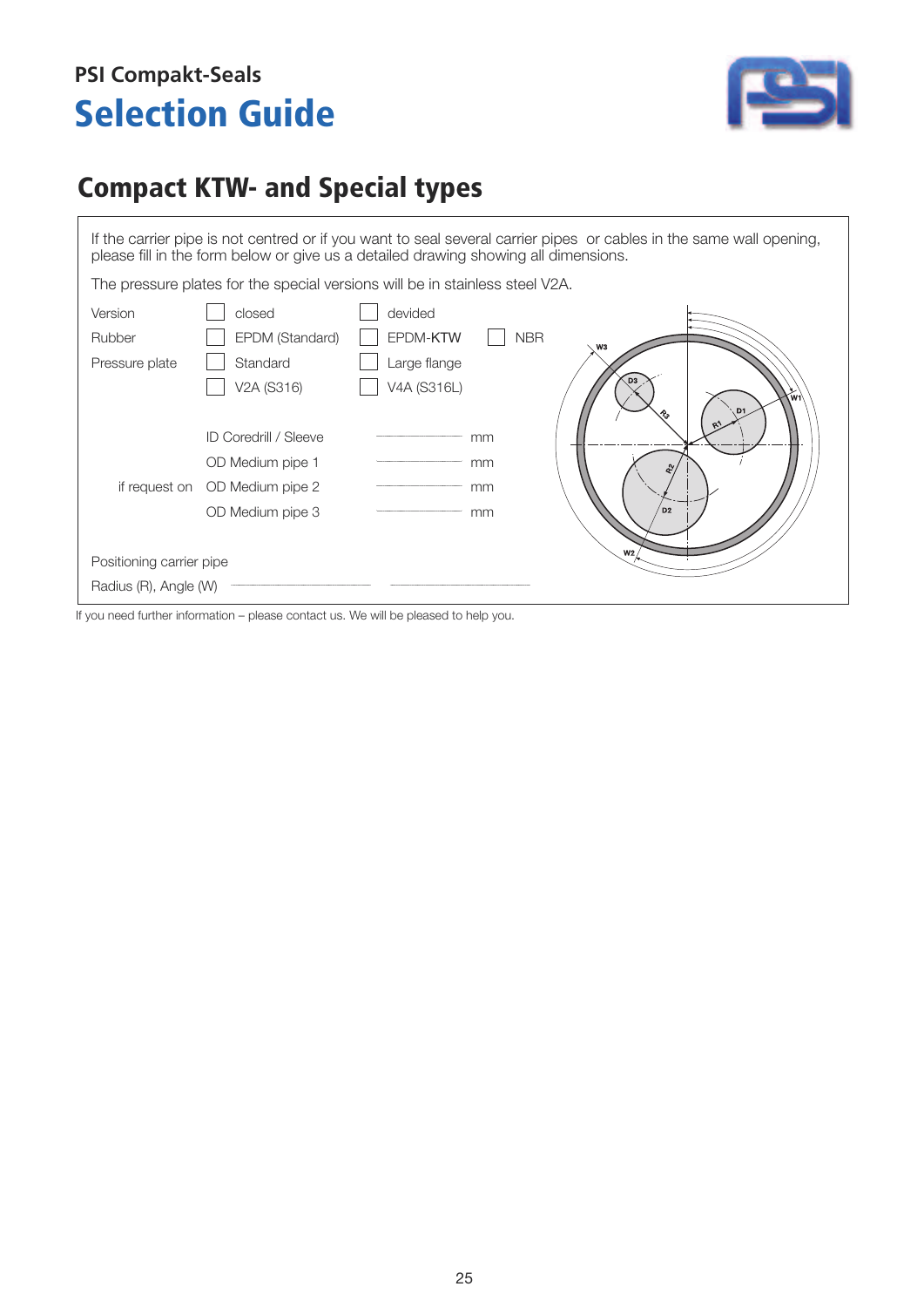### **Selection Guide PSI Compakt-Seals**



### **Compact KTW- and Special types**

If the carrier pipe is not centred or if you want to seal several carrier pipes or cables in the same wall opening, please fill in the form below or give us a detailed drawing showing all dimensions.

The pressure plates for the special versions will be in stainless steel V2A.



If you need further information – please contact us. We will be pleased to help you.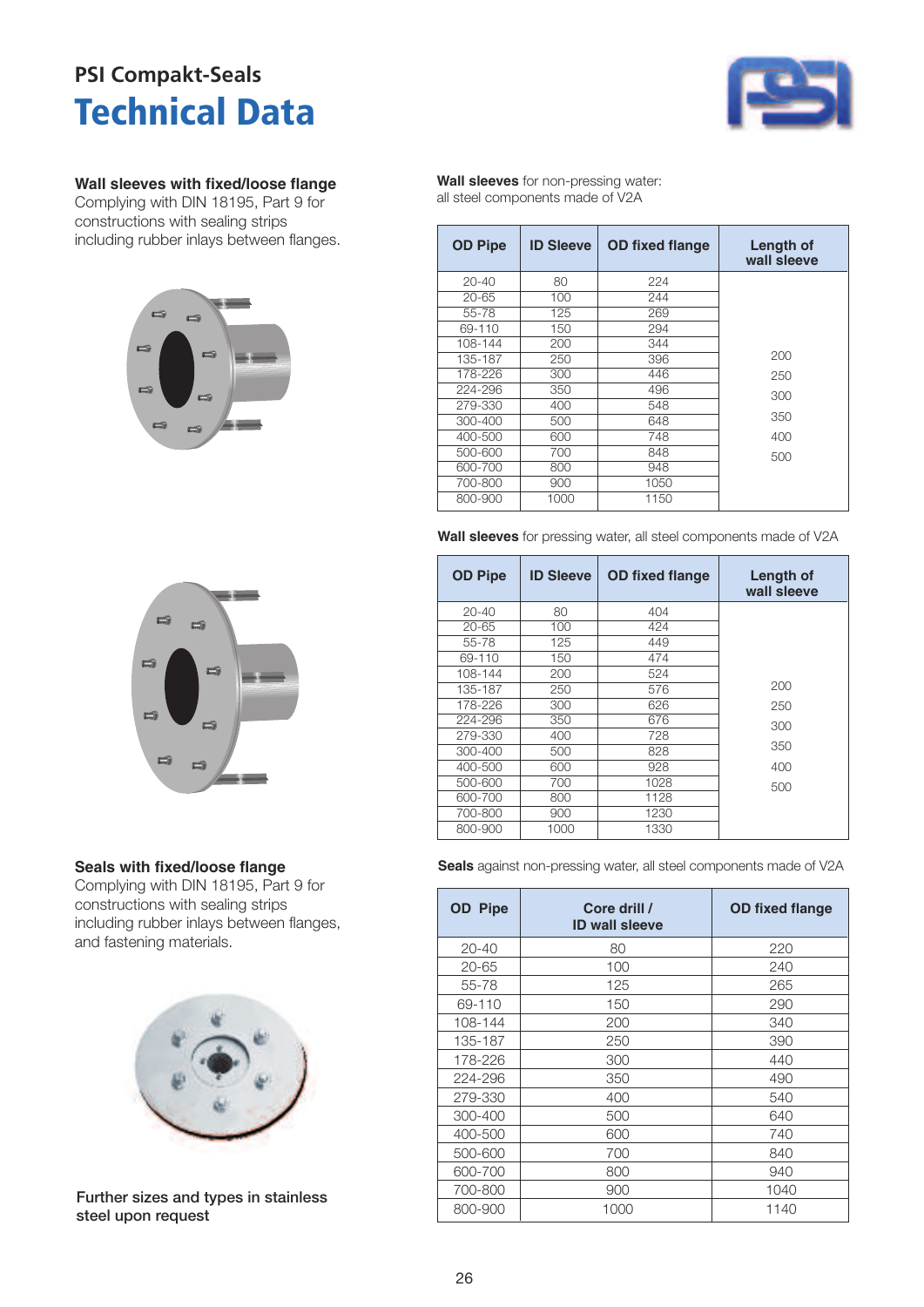### **Technical Data PSI Compakt-Seals**



#### **Wall sleeves with fixed/loose flange**

Complying with DIN 18195, Part 9 for constructions with sealing strips including rubber inlays between flanges.





#### **Seals with fixed/loose flange**

Complying with DIN 18195, Part 9 for constructions with sealing strips including rubber inlays between flanges, and fastening materials.



Further sizes and types in stainless steel upon request

**Wall sleeves** for non-pressing water: all steel components made of V2A

| <b>OD Pipe</b> | <b>ID Sleeve</b> | <b>OD fixed flange</b> | Length of<br>wall sleeve |
|----------------|------------------|------------------------|--------------------------|
| $20 - 40$      | 80               | 224                    |                          |
| 20-65          | 100              | 244                    |                          |
| 55-78          | 125              | 269                    |                          |
| 69-110         | 150              | 294                    |                          |
| 108-144        | 200              | 344                    |                          |
| 135-187        | 250              | 396                    | 200                      |
| 178-226        | 300              | 446                    | 250                      |
| 224-296        | 350              | 496                    | 300                      |
| 279-330        | 400              | 548                    |                          |
| 300-400        | 500              | 648                    | 350                      |
| 400-500        | 600              | 748                    | 400                      |
| 500-600        | 700              | 848                    | 500                      |
| 600-700        | 800              | 948                    |                          |
| 700-800        | 900              | 1050                   |                          |
| 800-900        | 1000             | 1150                   |                          |

**Wall sleeves** for pressing water, all steel components made of V2A

| <b>OD Pipe</b> | <b>ID Sleeve</b> | <b>OD</b> fixed flange | <b>Length of</b><br>wall sleeve |
|----------------|------------------|------------------------|---------------------------------|
| $20 - 40$      | 80               | 404                    |                                 |
| $20 - 65$      | 100              | 424                    |                                 |
| 55-78          | 125              | 449                    |                                 |
| 69-110         | 150              | 474                    |                                 |
| 108-144        | 200              | 524                    |                                 |
| 135-187        | 250              | 576                    | 200                             |
| 178-226        | 300              | 626                    | 250                             |
| 224-296        | 350              | 676                    | 300                             |
| 279-330        | 400              | 728                    |                                 |
| 300-400        | 500              | 828                    | 350                             |
| 400-500        | 600              | 928                    | 400                             |
| 500-600        | 700              | 1028                   | 500                             |
| 600-700        | 800              | 1128                   |                                 |
| 700-800        | 900              | 1230                   |                                 |
| 800-900        | 1000             | 1330                   |                                 |

**Seals** against non-pressing water, all steel components made of V2A

| <b>OD</b> Pipe | Core drill /<br><b>ID wall sleeve</b> | <b>OD fixed flange</b> |
|----------------|---------------------------------------|------------------------|
| $20 - 40$      | 80                                    | 220                    |
| 20-65          | 100                                   | 240                    |
| 55-78          | 125                                   | 265                    |
| 69-110         | 150                                   | 290                    |
| 108-144        | 200                                   | 340                    |
| 135-187        | 250                                   | 390                    |
| 178-226        | 300                                   | 440                    |
| 224-296        | 350                                   | 490                    |
| 279-330        | 400                                   | 540                    |
| 300-400        | 500                                   | 640                    |
| 400-500        | 600                                   | 740                    |
| 500-600        | 700                                   | 840                    |
| 600-700        | 800                                   | 940                    |
| 700-800        | 900                                   | 1040                   |
| 800-900        | 1000                                  | 1140                   |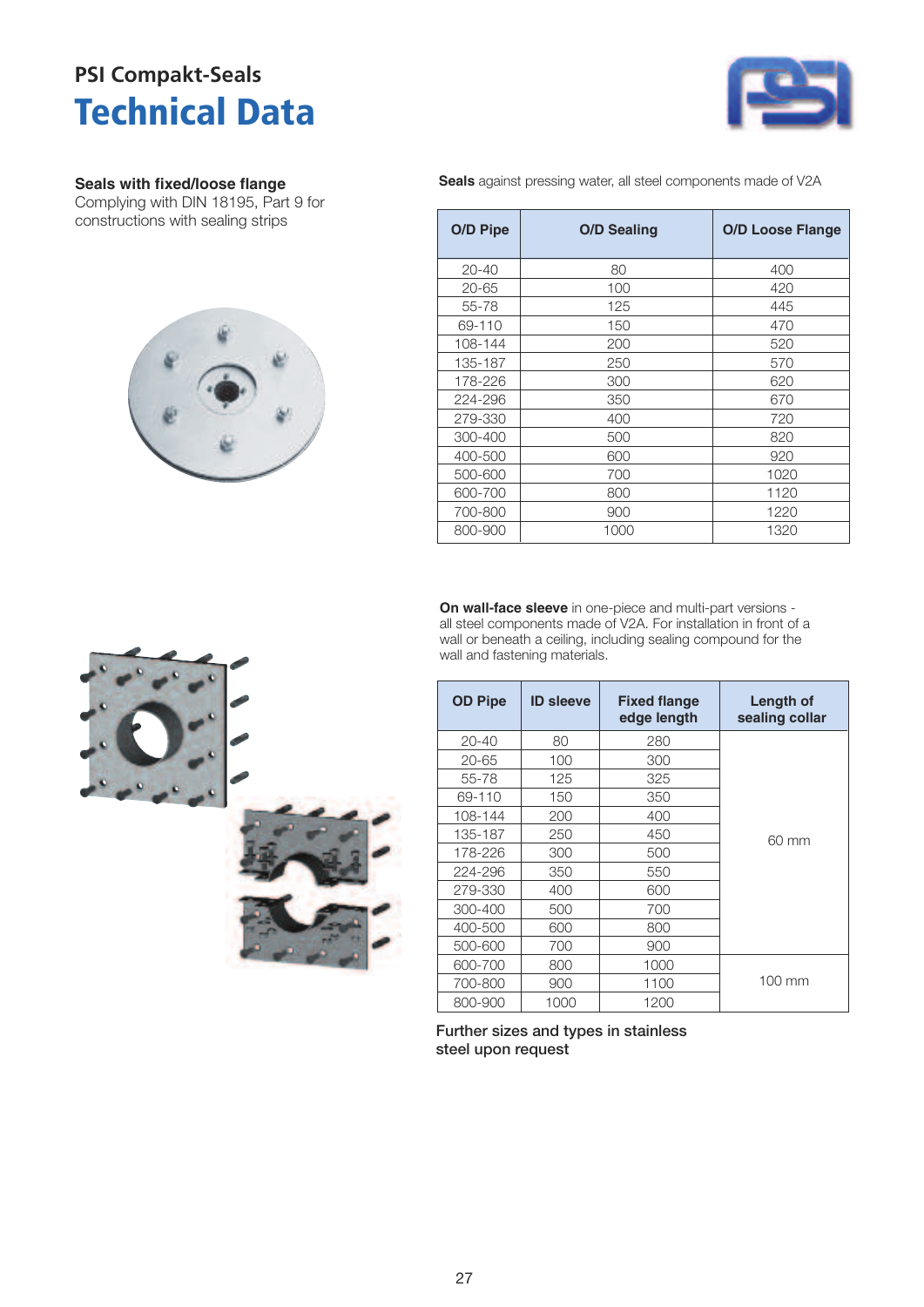### **Technical Data PSI Compakt-Seals**



#### **Seals with fixed/loose flange**

Complying with DIN 18195, Part 9 for constructions with sealing strips



**Seals** against pressing water, all steel components made of V2A

| O/D Pipe  | <b>O/D Sealing</b> | <b>O/D Loose Flange</b> |
|-----------|--------------------|-------------------------|
| $20 - 40$ | 80                 | 400                     |
| $20 - 65$ | 100                | 420                     |
| 55-78     | 125                | 445                     |
| 69-110    | 150                | 470                     |
| 108-144   | 200                | 520                     |
| 135-187   | 250                | 570                     |
| 178-226   | 300                | 620                     |
| 224-296   | 350                | 670                     |
| 279-330   | 400                | 720                     |
| 300-400   | 500                | 820                     |
| 400-500   | 600                | 920                     |
| 500-600   | 700                | 1020                    |
| 600-700   | 800                | 1120                    |
| 700-800   | 900                | 1220                    |
| 800-900   | 1000               | 1320                    |

**On wall-face sleeve** in one-piece and multi-part versions all steel components made of V2A. For installation in front of a wall or beneath a ceiling, including sealing compound for the wall and fastening materials.

| <b>OD Pipe</b> | <b>ID sleeve</b> | <b>Fixed flange</b><br>edge length | <b>Length of</b><br>sealing collar |
|----------------|------------------|------------------------------------|------------------------------------|
| 20-40          | 80               | 280                                |                                    |
| 20-65          | 100              | 300                                |                                    |
| 55-78          | 125              | 325                                |                                    |
| 69-110         | 150              | 350                                |                                    |
| 108-144        | 200              | 400                                |                                    |
| 135-187        | 250              | 450                                | 60 mm                              |
| 178-226        | 300              | 500                                |                                    |
| 224-296        | 350              | 550                                |                                    |
| 279-330        | 400              | 600                                |                                    |
| 300-400        | 500              | 700                                |                                    |
| 400-500        | 600              | 800                                |                                    |
| 500-600        | 700              | 900                                |                                    |
| 600-700        | 800              | 1000                               |                                    |
| 700-800        | 900              | 1100                               | 100 mm                             |
| 800-900        | 1000             | 1200                               |                                    |

Further sizes and types in stainless steel upon request

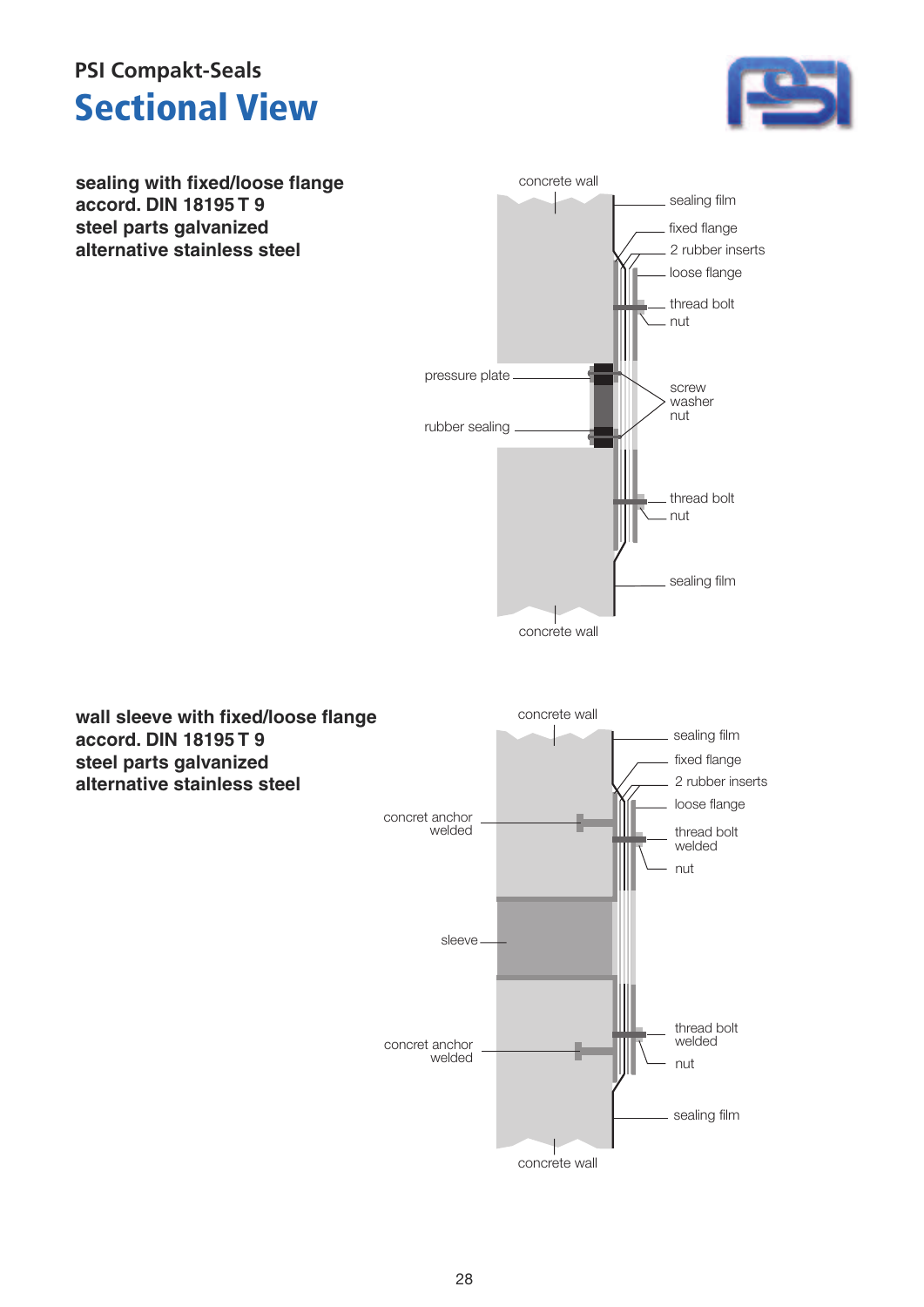### **Sectional View PSI Compakt-Seals**



**sealing with fixed/loose flange accord. DIN 18195 T 9 steel parts galvanized alternative stainless steel**



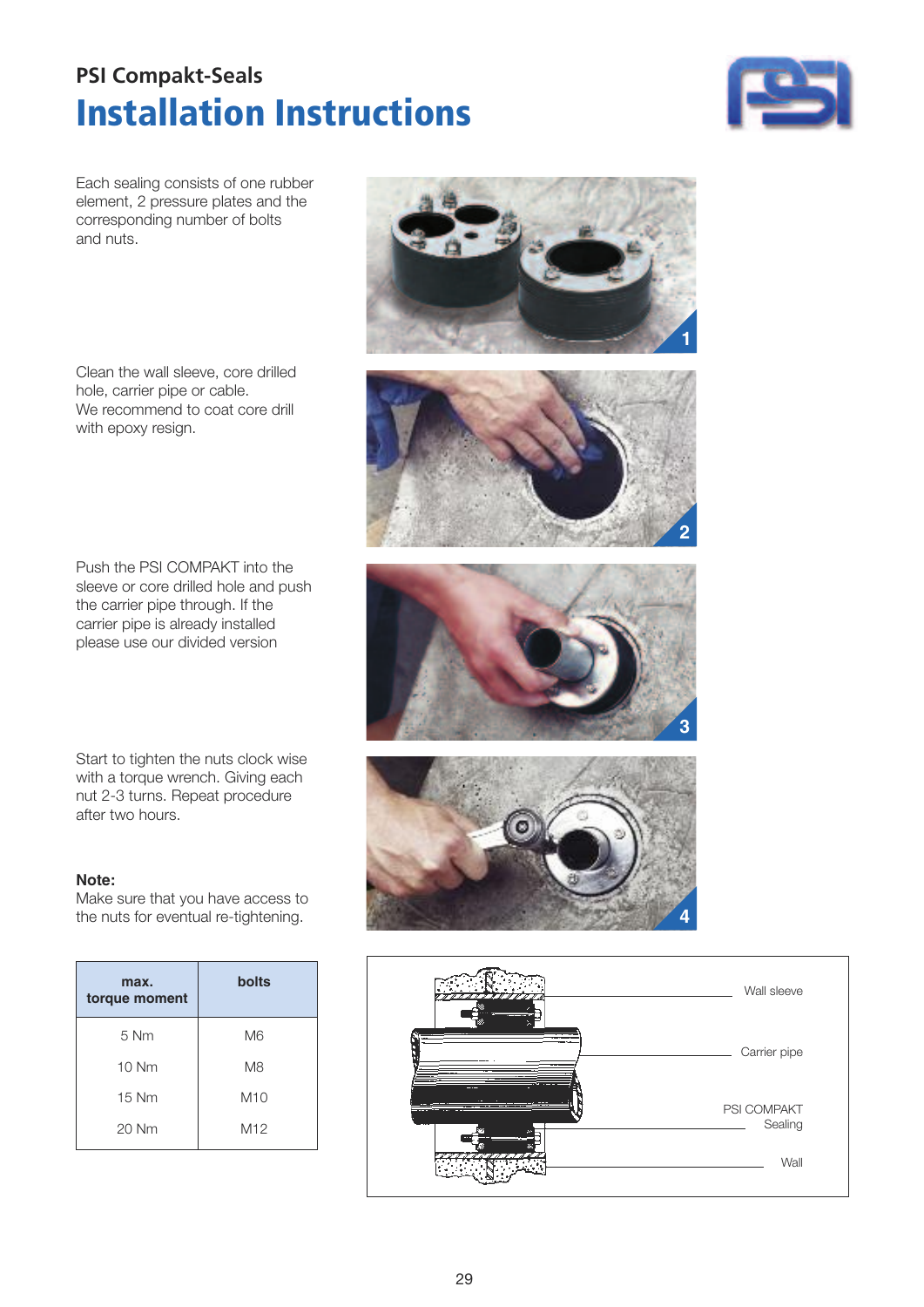### **Installation Instructions PSI Compakt-Seals**



Each sealing consists of one rubber element, 2 pressure plates and the corresponding number of bolts and nuts.

Clean the wall sleeve, core drilled hole, carrier pipe or cable. We recommend to coat core drill with epoxy resign.

Push the PSI COMPAKT into the sleeve or core drilled hole and push the carrier pipe through. If the carrier pipe is already installed please use our divided version

Start to tighten the nuts clock wise with a torque wrench. Giving each nut 2-3 turns. Repeat procedure after two hours.

#### **Note:**

Make sure that you have access to the nuts for eventual re-tightening.

| max.<br>torque moment | bolts           |
|-----------------------|-----------------|
| $5 \mathrm{Nm}$       | M <sub>6</sub>  |
| $10$ Nm               | M <sub>8</sub>  |
| 15 Nm                 | M10             |
| 20 Nm                 | M <sub>12</sub> |









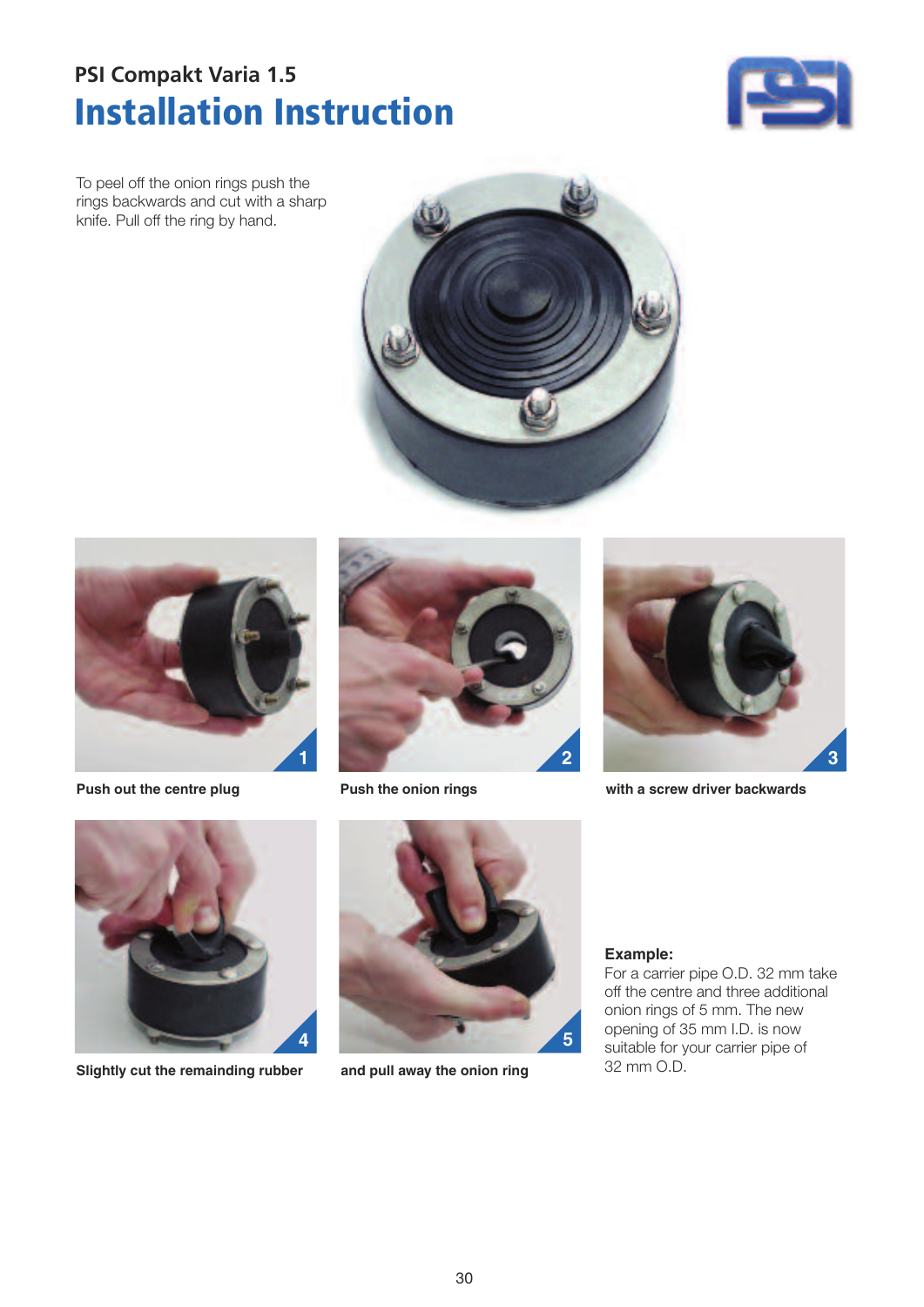### **Installation Instruction PSI Compakt Varia 1.5**



To peel off the onion rings push the rings backwards and cut with a sharp knife. Pull off the ring by hand.





**Push out the centre plug Push the onion rings**





**with a screw driver backwards**



**Slightly cut the remainding rubber and pull away the onion ring**



#### **Example:**

For a carrier pipe O.D. 32 mm take off the centre and three additional onion rings of 5 mm. The new opening of 35 mm I.D. is now suitable for your carrier pipe of 32 mm O.D.